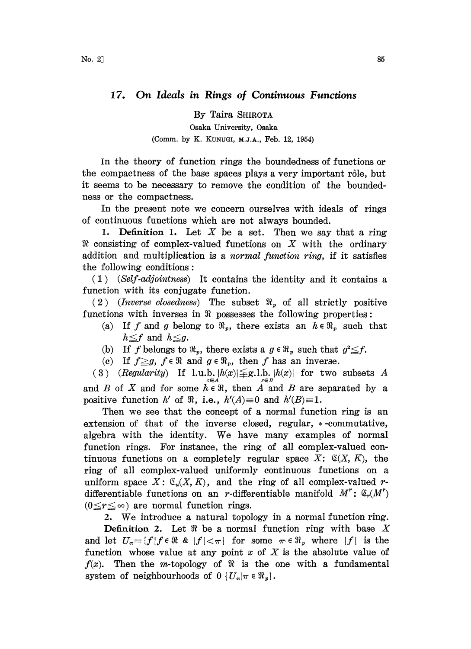## 17. On Ideals in Rings of Continuous Functions

By Taira SHIROTA

Osaka University, Osaka (Comm. by K. KUNUGI, M.J.A., Feb. 12, 1954)

in the theory of function rings the boundedness of functions or the compactness of the base spaces plays a very important rôle, but it seems to be necessary to remove the condition of the boundedhess or the compactness.

In the present note we concern ourselves with ideals of rings of continuous functions which are not aIways bounded.

1. Definition 1. Let  $X$  be a set. Then we say that a ring It consisting of complex-valued functions on  $X$  with the ordinary addition and multiplication is a *normal function ring*, if it satisfies the following conditions:

(1) (Self-adjointness) It contains the identity and it contains a function with its conjugate function.

(2) (Inverse closedness) The subset  $\Re_{v}$  of all strictly positive functions with inverses in  $\Re$  possesses the following properties:

- (a) If f and g belong to  $\mathfrak{R}_v$ , there exists an  $h \in \mathfrak{R}_v$  such that  $h \leq f$  and  $h \leq g$ .
- (b) If f belongs to  $\Re_p$ , there exists a  $g \in \Re_p$  such that  $g^2 \leq f$ .
- (c) If  $f \geq g$ ,  $f \in \Re$  and  $g \in \Re_p$ , then f has an inverse.

(3) (Regularity) If  $l.u.b. |h(x)| \leq g.l.b. |h(x)|$  for two subsets A and B of X and for some  $h \in \mathbb{R}$ , then A and B are separated by a positive function h' of  $\Re$ , i.e.,  $h'(A)=0$  and  $h'(B)=1$ .

Then we see that the concept of a normal function ring is an extension of that of the inverse closed, regular,  $*$ -commutative, algebra with the identity. We have many examples of normal function rings. For instance, the ring of all complex-valued continuous functions on a completely regular space X:  $\mathfrak{C}(X, K)$ , the ring of all complex-valued uniformly continuous functions on a uniform space  $X: \mathcal{C}_u(X, K)$ , and the ring of all complex-valued rdifferentiable functions on an r-differentiable manifold  $M^r$ :  $\mathfrak{S}_r(M^r)$  $(0 \leq r \leq \infty)$  are normal function rings.

2. We introduce <sup>a</sup> natural topology in <sup>a</sup> normal function ring.

**Definition 2.** Let  $\Re$  be a normal function ring with base X and let  $U_{\pi} = \{f \mid f \in \Re \& \mid f \mid < \pi \}$  for some  $\pi \in \Re_n$  where  $|f|$  is the function whose value at any point  $x$  of  $X$  is the absolute value of  $f(x)$ . Then the m-topology of  $\Re$  is the one with a fundamental system of neighbourhoods of  $0 \{U_{\pi} | \pi \in \mathbb{R}_p\}.$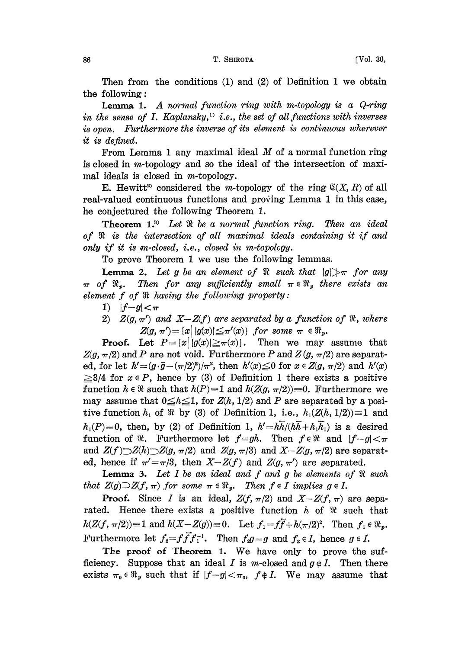Then from the conditions (1) and (2) of Definition <sup>1</sup> we obtain the following

**Lemma 1.** A normal function ring with m-topology is a  $Q$ -ring in the sense of I. Kaplansky,<sup>11</sup> i.e., the set of all functions with inverses is open. Furthermore the inverse of its element is continuous wherever it is defined.

From Lemma 1 any maximal ideal  $M$  of a normal function ring is closed in m-topology and so the ideal of the intersection of maximal ideals is closed in m-topology.

E. Hewitt<sup>2</sup> considered the m-topology of the ring  $\mathfrak{C}(X, R)$  of all real-valued continuous functions and proving Lemma 1 in this case, he conjectured the following Theorem 1.

**Theorem 1.**<sup>3</sup> Let  $\Re$  be a normal function ring. Then an ideal of is the intersection of all maximal ideals containing it if and only if it is m-closed, i.e., closed in m-topology.

To prove Theorem <sup>1</sup> we use the following lemmas.

**Lemma 2.** Let g be an element of  $\Re$  such that  $|g| \geq \pi$  for any  $\pi$  of  $\mathfrak{R}_r$ . Then for any sufficiently small  $\pi \in \mathfrak{R}_r$  there exists an element  $f$  of  $\Re$  having the following property:

- 1)  $|f-g| < \pi$
- 2)  $Z(g, \pi')$  and  $X-Z(f)$  are separated by a function of  $\Re$ , where  $Z(g, \pi') = \{x \mid |g(x)| \leq \pi'(x)\}$  for some  $\pi \in \mathbb{R}_p$ .

**Proof.** Let  $P = \{x \mid |g(x)| \geq \pi(x)\}$ . Then we may assume that  $Z(g, \pi/2)$  and P are not void. Furthermore P and  $Z(g, \pi/2)$  are separated, for let  $h'=(g\cdot\bar{g}-(\pi/2)^2)/\pi^2$ , then  $h'(x)\leq 0$  for  $x\in Z(g, \pi/2)$  and  $h'(x)$  $\geq 3/4$  for  $x \in P$ , hence by (3) of Definition 1 there exists a positive function  $h \in \mathbb{R}$  such that  $h(P)=1$  and  $h(Z(g, \pi/2))=0$ . Furthermore we may assume that  $0 \leq h \leq 1$ , for  $Z(h, 1/2)$  and P are separated by a positive function  $h_1$  of  $\Re$  by (3) of Definition 1, i.e.,  $h_1(Z(h, 1/2))\equiv 1$  and  $h_1(P)=0$ , then, by (2) of Definition 1,  $h'=\hbar\overline{h}/(\hbar\overline{h}+\hbar_1\overline{h}_1)$  is a desired function of  $\Re$ . Furthermore let  $f=gh$ . Then  $f \in \Re$  and  $|f-g| < \pi$ and  $Z(f)\supset Z(h)\supset Z(g, \pi/2)$  and  $Z(g, \pi/3)$  and  $X-Z(g, \pi/2)$  are separated, hence if  $\pi'=\pi/3$ , then  $X-Z(f)$  and  $Z(g, \pi')$  are separated.

**Lemma 3.** Let  $I$  be an ideal and  $f$  and  $g$  be elements of  $\Re$  such that  $Z(g) \supset Z(f, \pi)$  for some  $\pi \in \mathbb{R}_p$ . Then  $f \in I$  implies  $g \in I$ .

**Proof.** Since I is an ideal,  $Z(f, \pi/2)$  and  $X-Z(f, \pi)$  are separated. Hence there exists a positive function  $h$  of  $\Re$  such that  $h(Z(f, \pi/2)) = 1$  and  $h(X - Z(g)) = 0$ . Let  $f_1 = f\overline{f} + h(\pi/2)^2$ . Then  $f_1 \in \Re_p$ . Furthermore let  $f_2 = f f f f_1^{-1}$ . Then  $f_2 g = g$  and  $f_2 \in I$ , hence  $g \in I$ .

The proof of Theorem 1. We have only to prove the sufficiency. Suppose that an ideal I is m-closed and  $g \notin I$ . Then there exists  $\pi_0 \in \Re_p$  such that if  $|f-g| < \pi_0$ ,  $f \notin I$ . We may assume that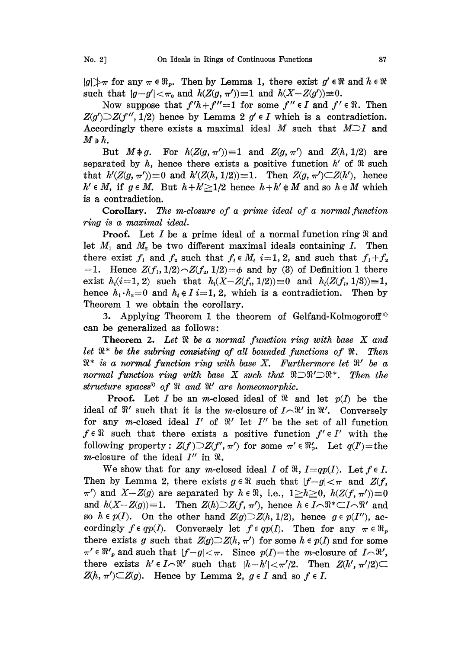$|g| \geq \pi$  for any  $\pi \in \mathbb{R}_n$ . Then by Lemma 1, there exist  $g' \in \mathbb{R}$  and  $h \in \mathbb{R}$ such that  $|g-g'| < \pi_0$  and  $h(Z(g, \pi'))=1$  and  $h(X-Z(g'))=0$ .

Now suppose that  $f'h+f''=1$  for some  $f'' \in I$  and  $f' \in \Re$ . Then  $Z(g')\supset Z(f'', 1/2)$  hence by Lemma 2  $g' \in I$  which is a contradiction. Accordingly there exists a maximal ideal M such that  $M \supset I$  and  $M$ э $\,h.$ 

But  $M \oplus g$ . For  $h(Z(g, \pi'))=1$  and  $Z(g, \pi')$  and  $Z(h, 1/2)$  are separated by h, hence there exists a positive function  $h'$  of  $\Re$  such that  $h'(Z(g, \pi'))=0$  and  $h'(Z(h, 1/2))=1$ . Then  $Z(g, \pi')\subset Z(h')$ , hence  $h' \in M$ , if  $g \in M$ . But  $h + h' \geq 1/2$  hence  $h + h' \notin M$  and so  $h \notin M$  which s a contradiction.

**Corollary.** The m-closure of a prime ideal of a normal function ring is a mazimal ideal.

**Proof.** Let I be a prime ideal of a normal function ring  $\Re$  and let  $M_1$  and  $M_2$  be two different maximal ideals containing I. Then there exist  $f_1$  and  $f_2$  such that  $f_i \in M_i$  i=1, 2, and such that  $f_1 + f_2$  $=1$ . Hence  $Z(f_1, 1/2) \sim Z(f_2, 1/2) = \phi$  and by (3) of Definition 1 there exist  $h_i(i=1, 2)$  such that  $h_i(X-Z(f_i, 1/2))=0$  and  $h_i(Z(f_i, 1/3))=1$ , hence  $h_1 \cdot h_2 = 0$  and  $h_i \notin I$  i=1, 2, which is a contradiction. Then by Theorem <sup>1</sup> we obtain the corollary.

3. Applying Theorem 1 the theorem of Gelfand-Kolmogoroff<sup>4)</sup> can be generalized as follows:

**Theorem 2.** Let  $\Re$  be a normal function ring with base  $X$  and let  $\mathbb{R}^*$  be the subring consisting of all bounded functions of  $\mathbb{R}$ . Then  $\mathbb{R}^*$  is a normal function ring with base X. Furthermore let  $\mathbb{R}'$  be a normal function ring with base X such that  $\mathbb{R} \supset \mathbb{R}' \supset \mathbb{R}^*$ . Then the normal function ring with base X such that  $\Re \supset \Re' \supset \Re^*$ . Then the structure spaces<sup>5</sup> of  $\Re$  and  $\Re'$  are homeomorphic.

**Proof.** Let I be an m-closed ideal of  $\Re$  and let  $p(I)$  be the ideal of  $\mathbb{R}'$  such that it is the m-closure of  $I\cap \mathbb{R}'$  in  $\mathbb{R}'$ . Conversely for any m-closed ideal  $I'$  of  $\mathcal{R}'$  let  $I''$  be the set of all function  $f \in \mathbb{R}$  such that there exists a positive function  $f' \in I'$  with the following property:  $Z(f) \supset Z(f', \pi')$  for some  $\pi' \in \mathbb{R}'_p$ . Let  $q(I')$ =the m-closure of the ideal  $I''$  in  $\Re$ .

We show that for any m-closed ideal I of  $\Re$ ,  $I=qp(I)$ . Let  $f \in I$ . Then by Lemma 2, there exists  $g \in \mathbb{R}$  such that  $|f-g| < \pi$  and  $Z(f, f)$ rien by Lemma 2, there exists  $g \in \pi$  such that  $|f - g| < \pi$  and  $Z(f, \pi')$ <br>
and  $h(X - Z(g)) \equiv 1$ . Then  $Z(h) \supseteq Z(f, \pi')$ , hence  $h \in I \cap \mathbb{R}^* \subset I \cap \mathbb{R}'$  and<br>  $\sup_{h \in \mathbb{R}^d} h(x) = 0$ , the other hand  $Z(\pi) \supseteq Z(h, 1/9)$ , hence  $g \$ so  $h \in p(I)$ . On the other hand  $Z(g) \supseteq Z(h, 1/2)$ , hence  $g \in p(I')$ , ac-Then  $Z(h) \supset Z(f, \pi')$ , hence  $h \in I \cap \Re^* \subset I \cap \Re'$  and cordingly  $f \in qp(I)$ . Conversely let  $f \in qp(I)$ . Then for any  $\pi \in \mathbb{R}_p$ there exists g such that  $Z(g) \supset Z(h, \pi')$  for some  $h \in p(I)$  and for some  $\pi' \in \Re'$  and such that  $|f-g| < \pi$ . Since  $p(I)$ =the m-closure of  $I \cap \Re'$ , there exists  $h' \in I \cap \mathbb{R}'$  such that  $|h-h'| < \pi'/2$ . Then  $Z(h', \pi'/2)$  $Z(h, \pi')\subset Z(g)$ . Hence by Lemma 2,  $g \in I$  and so  $f \in I$ .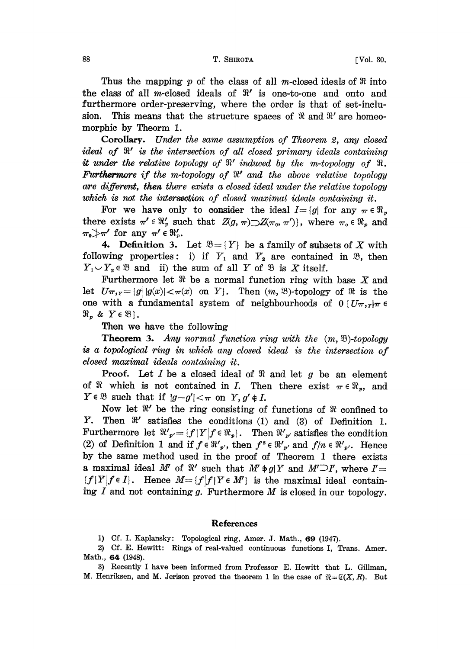## 88 COMPUTER T. SHIROTA T. SHIROTA TVOL. 30,

Thus the mapping p of the class of all m-closed ideals of  $\Re$  into the class of all m-closed ideals of  $\mathbb{R}^r$  is one-to-one and onto and furthermore order-preserving, where the order is that of set-inclusion. This means that the structure spaces of  $\Re$  and  $\Re'$  are homeomorphic by Theorm 1.

Corollary. Under the same assumption of Theorem 2, any closed ideal of  $\mathbb{R}'$  is the intersection of all closed primary ideals containing it under the relative topology of  $\mathbb{R}'$  induced by the m-topology of  $\mathbb{R}$ . Furthermore if the m-topology of  $\mathbb{R}^r$  and the above relative topology are different, then there exists a closed ideal under the relative topology which is not the intersection of closed maximal ideals containing it.

For we have only to consider the ideal  $I=[g]$  for any  $\pi \in \mathbb{R}_{p}$ there exists  $\pi' \in \mathbb{R}_p'$  such that  $Z(g, \pi) \supset Z(\pi_0, \pi')$ , where  $\pi_0 \in \mathbb{R}_p$  and there exists  $\pi \in \mathfrak{X}_p$  su<br>  $\pi_0 \rightarrow \pi'$  for any  $\pi' \in \mathfrak{R}'_p$ .

**4.** Definition 3. Let  $\mathfrak{B} = \{Y\}$  be a family of subsets of X with following properties: i) if  $Y_1$  and  $Y_2$  are contained in  $\mathfrak{B}$ , then  $Y_1 \cup Y_2 \in \mathcal{B}$  and ii) the sum of all Y of  $\mathcal{B}$  is X itself.

Furthermore let  $\Re$  be a normal function ring with base X and let  $U\pi_{\mathcal{F}}=[g||g(x)|<\pi(x)$  on Y}. Then  $(m, \mathcal{B})$ -topology of  $\mathcal{R}$  is the one with a fundamental system of neighbourhoods of  $0 \{U\pi, Y | \pi \in$  $\mathfrak{R}_p$  &  $Y \in \mathfrak{B}$ .

Then we have the following

**Theorem 3.** Any normal function ring with the  $(m, \mathcal{B})$ -topology is a topological ring in which any closed ideal is the intersection of closed maximal ideals containing it.

**Proof.** Let I be a closed ideal of  $\Re$  and let g be an element of  $\Re$  which is not contained in *I*. Then there exist  $\pi \in \Re_p$ , and  $Y \in \mathcal{B}$  such that if  $|g-g'| < \pi$  on  $Y, g' \notin I$ .

Now let  $\mathbb{R}'$  be the ring consisting of functions of  $\mathbb{R}$  confined to Y. Then  $\mathcal{X}'$  satisfies the conditions (1) and (3) of Definition 1. Furthermore let  $\Re'_{p'} = \{f | Y | f \in \Re_p\}$ . Then  $\Re'_{p'}$  satisfies the condition (2) of Definition 1 and if  $f \in \mathbb{R}'_{p'}$ , then  $f^2 \in \mathbb{R}'_{p'}$  and  $f/n \in \mathbb{R}'_{p'}$ . Hence by the same method used in the proof of Theorem <sup>1</sup> there exists a maximal ideal M' of  $\mathbb{R}'$  such that  $M' \ni g \upharpoonright Y$  and  $M' \supset I'$ , where  $I' =$  ${f|Y|f \in I}.$  Hence  $M = {f|f|Y \in M'}$  is the maximal ideal containing  $I$  and not containing  $g$ . Furthermore  $M$  is closed in our topology.

## References

1) Cf. I. Kaplansky: Topological ring, Amer. J. Math., 69 (1947).

2) Cf. E. Hewitt: Rings of real-valued continuous, functions I, Trans. Amer. Math., 64 (1948).

3) Recently <sup>I</sup> have been informed from Professor E. Hewitt that L. Gillman, M. Henriksen, and M. Jerison proved the theorem 1 in the case of  $\mathfrak{R} = \mathfrak{C}(X, R)$ . But